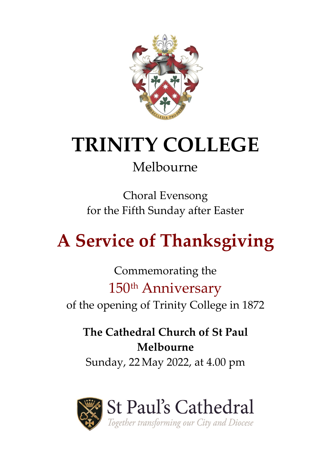

# **TRINITY COLLEGE**

# Melbourne

Choral Evensong for the Fifth Sunday after Easter

# **A Service of Thanksgiving**

Commemorating the 150th Anniversary of the opening of Trinity College in 1872

**The Cathedral Church of St Paul Melbourne**

Sunday, 22May 2022, at 4.00 pm

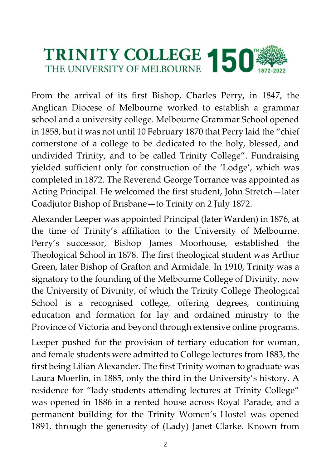

From the arrival of its first Bishop, Charles Perry, in 1847, the Anglican Diocese of Melbourne worked to establish a grammar school and a university college. Melbourne Grammar School opened in 1858, but it was not until 10 February 1870 that Perry laid the "chief cornerstone of a college to be dedicated to the holy, blessed, and undivided Trinity, and to be called Trinity College". Fundraising yielded sufficient only for construction of the 'Lodge', which was completed in 1872. The Reverend George Torrance was appointed as Acting Principal. He welcomed the first student, John Stretch—later Coadjutor Bishop of Brisbane—to Trinity on 2 July 1872.

Alexander Leeper was appointed Principal (later Warden) in 1876, at the time of Trinity's affiliation to the University of Melbourne. Perry's successor, Bishop James Moorhouse, established the Theological School in 1878. The first theological student was Arthur Green, later Bishop of Grafton and Armidale. In 1910, Trinity was a signatory to the founding of the Melbourne College of Divinity, now the University of Divinity, of which the Trinity College Theological School is a recognised college, offering degrees, continuing education and formation for lay and ordained ministry to the Province of Victoria and beyond through extensive online programs.

Leeper pushed for the provision of tertiary education for woman, and female students were admitted to College lectures from 1883, the first being Lilian Alexander. The first Trinity woman to graduate was Laura Moerlin, in 1885, only the third in the University's history. A residence for "lady-students attending lectures at Trinity College" was opened in 1886 in a rented house across Royal Parade, and a permanent building for the Trinity Women's Hostel was opened 1891, through the generosity of (Lady) Janet Clarke. Known from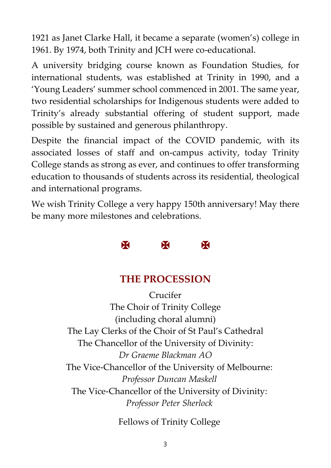1921 as Janet Clarke Hall, it became a separate (women's) college in 1961. By 1974, both Trinity and JCH were co-educational.

A university bridging course known as Foundation Studies, for international students, was established at Trinity in 1990, and a 'Young Leaders' summer school commenced in 2001. The same year, two residential scholarships for Indigenous students were added to Trinity's already substantial offering of student support, made possible by sustained and generous philanthropy.

Despite the financial impact of the COVID pandemic, with its associated losses of staff and on-campus activity, today Trinity College stands as strong as ever, and continues to offer transforming education to thousands of students across its residential, theological and international programs.

We wish Trinity College a very happy 150th anniversary! May there be many more milestones and celebrations.

# X X X

## **THE PROCESSION**

Crucifer The Choir of Trinity College (including choral alumni) The Lay Clerks of the Choir of St Paul's Cathedral The Chancellor of the University of Divinity: *Dr Graeme Blackman AO* The Vice-Chancellor of the University of Melbourne: *Professor Duncan Maskell* The Vice-Chancellor of the University of Divinity: *Professor Peter Sherlock*

Fellows of Trinity College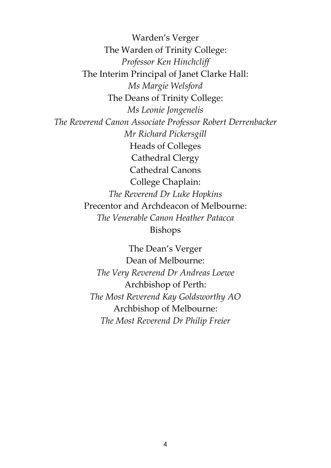Warden's Verger The Warden of Trinity College: *Professor Ken Hinchcliff* The Interim Principal of Janet Clarke Hall: *Ms Margie Welsford*  The Deans of Trinity College: *Ms Leonie Jongenelis The Reverend Canon Associate Professor Robert Derrenbacker Mr Richard Pickersgill* Heads of Colleges Cathedral Clergy Cathedral Canons College Chaplain: *The Reverend Dr Luke Hopkins* Precentor and Archdeacon of Melbourne: *The Venerable Canon Heather Patacca* Bishops

> The Dean's Verger Dean of Melbourne: *The Very Reverend Dr Andreas Loewe* Archbishop of Perth: *The Most Reverend Kay Goldsworthy AO* Archbishop of Melbourne: *The Most Reverend Dr Philip Freier*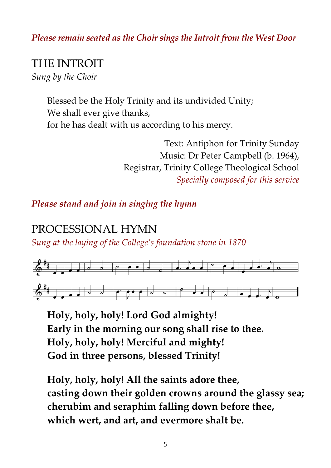#### *Please remain seated as the Choir sings the Introit from the West Door*

# THE INTROIT

*Sung by the Choir*

Blessed be the Holy Trinity and its undivided Unity; We shall ever give thanks, for he has dealt with us according to his mercy.

> Text: Antiphon for Trinity Sunday Music: Dr Peter Campbell (b. 1964), Registrar, Trinity College Theological School *Specially composed for this service*

#### *Please stand and join in singing the hymn*

## PROCESSIONAL HYMN

*Sung at the laying of the College's foundation stone in 1870*



**Holy, holy, holy! Lord God almighty! Early in the morning our song shall rise to thee. Holy, holy, holy! Merciful and mighty! God in three persons, blessed Trinity!**

**Holy, holy, holy! All the saints adore thee, casting down their golden crowns around the glassy sea; cherubim and seraphim falling down before thee, which wert, and art, and evermore shalt be.**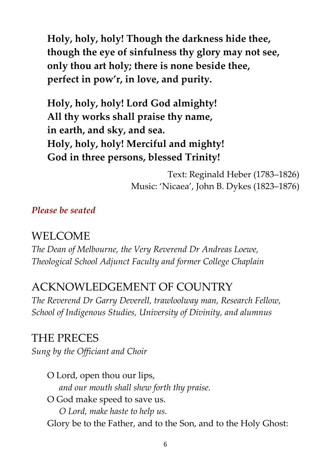**Holy, holy, holy! Though the darkness hide thee, though the eye of sinfulness thy glory may not see, only thou art holy; there is none beside thee, perfect in pow'r, in love, and purity.**

**Holy, holy, holy! Lord God almighty! All thy works shall praise thy name, in earth, and sky, and sea. Holy, holy, holy! Merciful and mighty! God in three persons, blessed Trinity!**

> Text: Reginald Heber (1783–1826) Music: 'Nicaea', John B. Dykes (1823–1876)

*Please be seated*

#### WELCOME

*The Dean of Melbourne, the Very Reverend Dr Andreas Loewe, Theological School Adjunct Faculty and former College Chaplain*

## ACKNOWLEDGEMENT OF COUNTRY

*The Reverend Dr Garry Deverell, trawloolway man, Research Fellow, School of Indigenous Studies, University of Divinity, and alumnus*

## THE PRECES *Sung by the Officiant and Choir*

O Lord, open thou our lips, *and our mouth shall shew forth thy praise.* O God make speed to save us. *O Lord, make haste to help us.* Glory be to the Father, and to the Son, and to the Holy Ghost: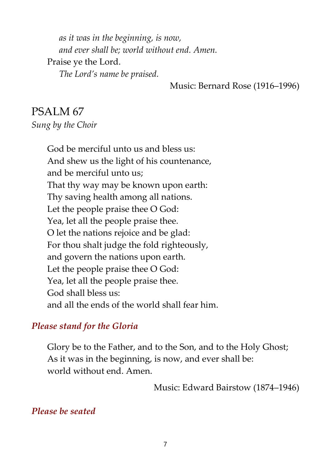*as it was in the beginning, is now, and ever shall be; world without end. Amen.* Praise ye the Lord. *The Lord's name be praised.*

Music: Bernard Rose (1916–1996)

## PSALM 67 *Sung by the Choir*

God be merciful unto us and bless us: And shew us the light of his countenance, and be merciful unto us; That thy way may be known upon earth: Thy saving health among all nations. Let the people praise thee O God: Yea, let all the people praise thee. O let the nations rejoice and be glad: For thou shalt judge the fold righteously, and govern the nations upon earth. Let the people praise thee O God: Yea, let all the people praise thee. God shall bless us: and all the ends of the world shall fear him.

#### *Please stand for the Gloria*

Glory be to the Father, and to the Son, and to the Holy Ghost; As it was in the beginning, is now, and ever shall be: world without end. Amen.

Music: Edward Bairstow (1874–1946)

#### *Please be seated*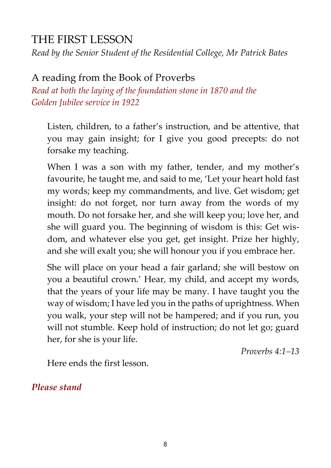## THE FIRST LESSON

*Read by the Senior Student of the Residential College, Mr Patrick Bates*

## A reading from the Book of Proverbs

*Read at both the laying of the foundation stone in 1870 and the Golden Jubilee service in 1922*

Listen, children, to a father's instruction, and be attentive, that you may gain insight; for I give you good precepts: do not forsake my teaching.

When I was a son with my father, tender, and my mother's favourite, he taught me, and said to me, 'Let your heart hold fast my words; keep my commandments, and live. Get wisdom; get insight: do not forget, nor turn away from the words of my mouth. Do not forsake her, and she will keep you; love her, and she will guard you. The beginning of wisdom is this: Get wisdom, and whatever else you get, get insight. Prize her highly, and she will exalt you; she will honour you if you embrace her.

She will place on your head a fair garland; she will bestow on you a beautiful crown.' Hear, my child, and accept my words, that the years of your life may be many. I have taught you the way of wisdom; I have led you in the paths of uprightness. When you walk, your step will not be hampered; and if you run, you will not stumble. Keep hold of instruction; do not let go; guard her, for she is your life.

*Proverbs 4:1–13*

Here ends the first lesson.

*Please stand*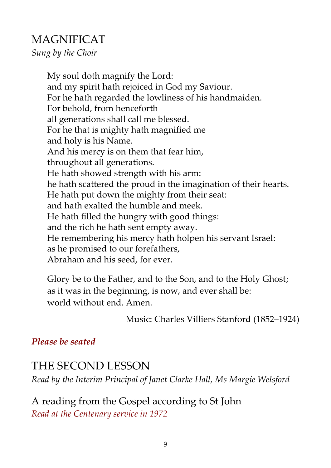## MAGNIFICAT

*Sung by the Choir*

My soul doth magnify the Lord: and my spirit hath rejoiced in God my Saviour. For he hath regarded the lowliness of his handmaiden. For behold, from henceforth all generations shall call me blessed. For he that is mighty hath magnified me and holy is his Name. And his mercy is on them that fear him, throughout all generations. He hath showed strength with his arm: he hath scattered the proud in the imagination of their hearts. He hath put down the mighty from their seat: and hath exalted the humble and meek. He hath filled the hungry with good things: and the rich he hath sent empty away. He remembering his mercy hath holpen his servant Israel: as he promised to our forefathers, Abraham and his seed, for ever.

Glory be to the Father, and to the Son, and to the Holy Ghost; as it was in the beginning, is now, and ever shall be: world without end. Amen.

Music: Charles Villiers Stanford (1852–1924)

#### *Please be seated*

## THE SECOND LESSON

*Read by the Interim Principal of Janet Clarke Hall, Ms Margie Welsford*

A reading from the Gospel according to St John *Read at the Centenary service in 1972*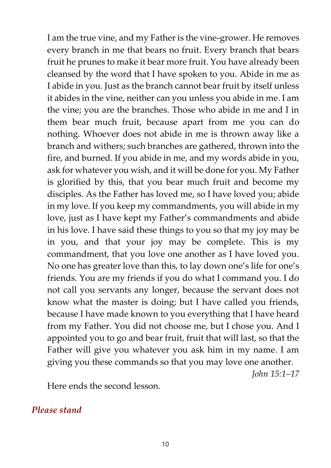I am the true vine, and my Father is the vine-grower. He removes every branch in me that bears no fruit. Every branch that bears fruit he prunes to make it bear more fruit. You have already been cleansed by the word that I have spoken to you. Abide in me as I abide in you. Just as the branch cannot bear fruit by itself unless it abides in the vine, neither can you unless you abide in me. I am the vine; you are the branches. Those who abide in me and I in them bear much fruit, because apart from me you can do nothing. Whoever does not abide in me is thrown away like a branch and withers; such branches are gathered, thrown into the fire, and burned. If you abide in me, and my words abide in you, ask for whatever you wish, and it will be done for you. My Father is glorified by this, that you bear much fruit and become my disciples. As the Father has loved me, so I have loved you; abide in my love. If you keep my commandments, you will abide in my love, just as I have kept my Father's commandments and abide in his love. I have said these things to you so that my joy may be in you, and that your joy may be complete. This is my commandment, that you love one another as I have loved you. No one has greater love than this, to lay down one's life for one's friends. You are my friends if you do what I command you. I do not call you servants any longer, because the servant does not know what the master is doing; but I have called you friends, because I have made known to you everything that I have heard from my Father. You did not choose me, but I chose you. And I appointed you to go and bear fruit, fruit that will last, so that the Father will give you whatever you ask him in my name. I am giving you these commands so that you may love one another.

*John 15:1–17*

Here ends the second lesson.

#### *Please stand*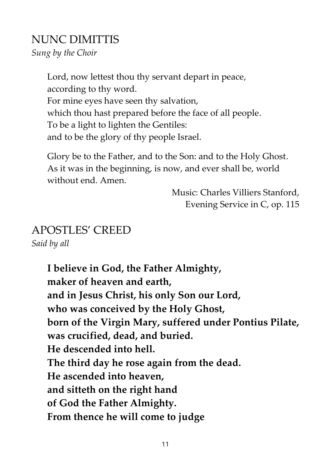## NUNC DIMITTIS

*Sung by the Choir*

Lord, now lettest thou thy servant depart in peace, according to thy word. For mine eyes have seen thy salvation, which thou hast prepared before the face of all people. To be a light to lighten the Gentiles: and to be the glory of thy people Israel.

Glory be to the Father, and to the Son: and to the Holy Ghost. As it was in the beginning, is now, and ever shall be, world without end. Amen.

> Music: Charles Villiers Stanford, Evening Service in C, op. 115

# APOSTLES' CREED

*Said by all*

**I believe in God, the Father Almighty, maker of heaven and earth, and in Jesus Christ, his only Son our Lord, who was conceived by the Holy Ghost, born of the Virgin Mary, suffered under Pontius Pilate, was crucified, dead, and buried. He descended into hell. The third day he rose again from the dead. He ascended into heaven, and sitteth on the right hand of God the Father Almighty. From thence he will come to judge**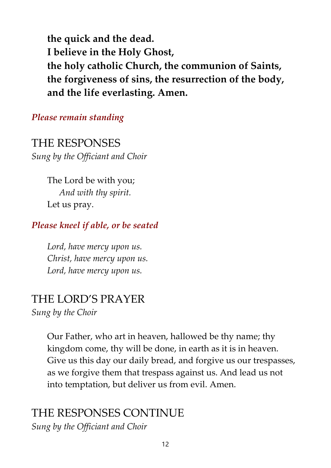**the quick and the dead. I believe in the Holy Ghost, the holy catholic Church, the communion of Saints, the forgiveness of sins, the resurrection of the body, and the life everlasting. Amen.**

#### *Please remain standing*

THE RESPONSES *Sung by the Officiant and Choir*

> The Lord be with you; *And with thy spirit.* Let us pray.

#### *Please kneel if able, or be seated*

*Lord, have mercy upon us. Christ, have mercy upon us. Lord, have mercy upon us.*

# THE LORD'S PRAYER

*Sung by the Choir*

Our Father, who art in heaven, hallowed be thy name; thy kingdom come, thy will be done, in earth as it is in heaven. Give us this day our daily bread, and forgive us our trespasses, as we forgive them that trespass against us. And lead us not into temptation, but deliver us from evil. Amen.

## THE RESPONSES CONTINUE

*Sung by the Officiant and Choir*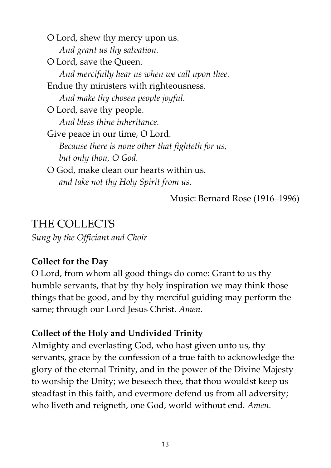O Lord, shew thy mercy upon us. *And grant us thy salvation.* O Lord, save the Queen. *And mercifully hear us when we call upon thee.* Endue thy ministers with righteousness. *And make thy chosen people joyful.* O Lord, save thy people. *And bless thine inheritance.* Give peace in our time, O Lord. *Because there is none other that fighteth for us, but only thou, O God.* O God, make clean our hearts within us. *and take not thy Holy Spirit from us.*

Music: Bernard Rose (1916–1996)

## THE COLLECTS

*Sung by the Officiant and Choir*

#### **Collect for the Day**

O Lord, from whom all good things do come: Grant to us thy humble servants, that by thy holy inspiration we may think those things that be good, and by thy merciful guiding may perform the same; through our Lord Jesus Christ. *Amen.*

#### **Collect of the Holy and Undivided Trinity**

Almighty and everlasting God, who hast given unto us, thy servants, grace by the confession of a true faith to acknowledge the glory of the eternal Trinity, and in the power of the Divine Majesty to worship the Unity; we beseech thee, that thou wouldst keep us steadfast in this faith, and evermore defend us from all adversity; who liveth and reigneth, one God, world without end. *Amen.*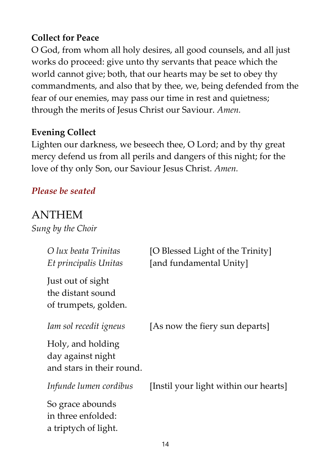#### **Collect for Peace**

O God, from whom all holy desires, all good counsels, and all just works do proceed: give unto thy servants that peace which the world cannot give; both, that our hearts may be set to obey thy commandments, and also that by thee, we, being defended from the fear of our enemies, may pass our time in rest and quietness; through the merits of Jesus Christ our Saviour. *Amen.*

#### **Evening Collect**

Lighten our darkness, we beseech thee, O Lord; and by thy great mercy defend us from all perils and dangers of this night; for the love of thy only Son, our Saviour Jesus Christ. *Amen.*

#### *Please be seated*

## ANTHEM

*Sung by the Choir*

| O lux beata Trinitas<br>Et principalis Unitas                       | [O Blessed Light of the Trinity]<br>[and fundamental Unity] |
|---------------------------------------------------------------------|-------------------------------------------------------------|
| Just out of sight<br>the distant sound<br>of trumpets, golden.      |                                                             |
| Iam sol recedit igneus                                              | [As now the fiery sun departs]                              |
| Holy, and holding<br>day against night<br>and stars in their round. |                                                             |
| Infunde lumen cordibus                                              | [Instil your light within our hearts]                       |
| So grace abounds<br>in three enfolded:<br>a triptych of light.      |                                                             |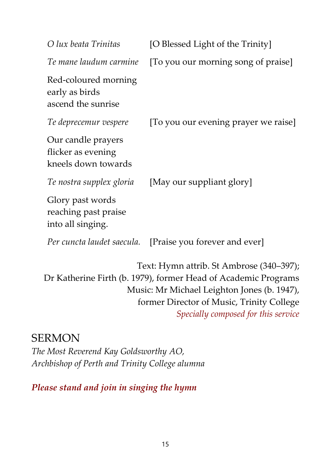| O lux beata Trinitas                                            | [O Blessed Light of the Trinity]                                                                                                                          |
|-----------------------------------------------------------------|-----------------------------------------------------------------------------------------------------------------------------------------------------------|
| Te mane laudum carmine                                          | [To you our morning song of praise]                                                                                                                       |
| Red-coloured morning<br>early as birds<br>ascend the sunrise    |                                                                                                                                                           |
| Te deprecemur vespere                                           | [To you our evening prayer we raise]                                                                                                                      |
| Our candle prayers<br>flicker as evening<br>kneels down towards |                                                                                                                                                           |
| Te nostra supplex gloria                                        | [May our suppliant glory]                                                                                                                                 |
| Glory past words<br>reaching past praise<br>into all singing.   |                                                                                                                                                           |
| Per cuncta laudet saecula.                                      | [Praise you forever and ever]                                                                                                                             |
|                                                                 | Text: Hymn attrib. St Ambrose (340–397);<br>Dr Katherine Firth (b. 1979), former Head of Academic Programs<br>Music: Mr Michael Leighton Jones (b. 1947), |

former Director of Music, Trinity College *Specially composed for this service*

## SERMON

*The Most Reverend Kay Goldsworthy AO, Archbishop of Perth and Trinity College alumna*

*Please stand and join in singing the hymn*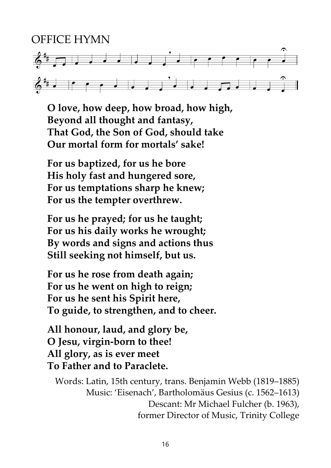# OFFICE HYMN  $6 +$  $6$ <sup>#</sup>

**O love, how deep, how broad, how high, Beyond all thought and fantasy, That God, the Son of God, should take Our mortal form for mortals' sake!**

**For us baptized, for us he bore His holy fast and hungered sore, For us temptations sharp he knew; For us the tempter overthrew.**

**For us he prayed; for us he taught; For us his daily works he wrought; By words and signs and actions thus Still seeking not himself, but us.**

**For us he rose from death again; For us he went on high to reign; For us he sent his Spirit here, To guide, to strengthen, and to cheer.**

**All honour, laud, and glory be, O Jesu, virgin-born to thee! All glory, as is ever meet To Father and to Paraclete.**

Words: Latin, 15th century, trans. Benjamin Webb (1819–1885) Music: 'Eisenach', Bartholomäus Gesius (c. 1562–1613) Descant: Mr Michael Fulcher (b. 1963), former Director of Music, Trinity College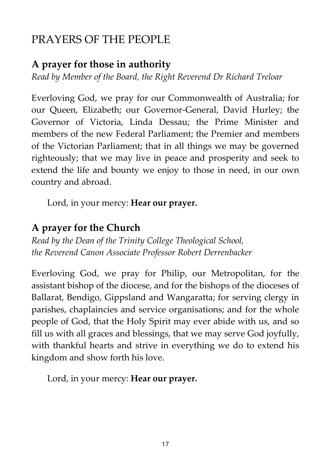# PRAYERS OF THE PEOPLE

## **A prayer for those in authority**

*Read by Member of the Board, the Right Reverend Dr Richard Treloar*

Everloving God, we pray for our Commonwealth of Australia; for our Queen, Elizabeth; our Governor-General, David Hurley; the Governor of Victoria, Linda Dessau; the Prime Minister and members of the new Federal Parliament; the Premier and members of the Victorian Parliament; that in all things we may be governed righteously; that we may live in peace and prosperity and seek to extend the life and bounty we enjoy to those in need, in our own country and abroad.

Lord, in your mercy: **Hear our prayer.**

## **A prayer for the Church**

*Read by the Dean of the Trinity College Theological School, the Reverend Canon Associate Professor Robert Derrenbacker*

Everloving God, we pray for Philip, our Metropolitan, for the assistant bishop of the diocese, and for the bishops of the dioceses of Ballarat, Bendigo, Gippsland and Wangaratta; for serving clergy in parishes, chaplaincies and service organisations; and for the whole people of God, that the Holy Spirit may ever abide with us, and so fill us with all graces and blessings, that we may serve God joyfully, with thankful hearts and strive in everything we do to extend his kingdom and show forth his love.

Lord, in your mercy: **Hear our prayer.**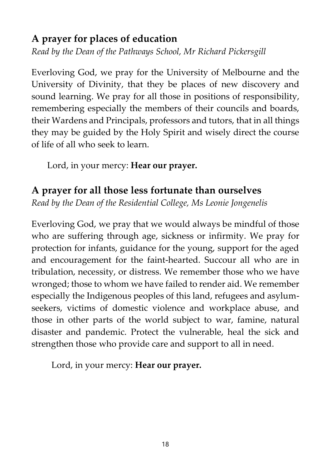## **A prayer for places of education**

*Read by the Dean of the Pathways School, Mr Richard Pickersgill*

Everloving God, we pray for the University of Melbourne and the University of Divinity, that they be places of new discovery and sound learning. We pray for all those in positions of responsibility, remembering especially the members of their councils and boards, their Wardens and Principals, professors and tutors, that in all things they may be guided by the Holy Spirit and wisely direct the course of life of all who seek to learn.

Lord, in your mercy: **Hear our prayer.**

#### **A prayer for all those less fortunate than ourselves**

*Read by the Dean of the Residential College, Ms Leonie Jongenelis*

Everloving God, we pray that we would always be mindful of those who are suffering through age, sickness or infirmity. We pray for protection for infants, guidance for the young, support for the aged and encouragement for the faint-hearted. Succour all who are in tribulation, necessity, or distress. We remember those who we have wronged; those to whom we have failed to render aid. We remember especially the Indigenous peoples of this land, refugees and asylumseekers, victims of domestic violence and workplace abuse, and those in other parts of the world subject to war, famine, natural disaster and pandemic. Protect the vulnerable, heal the sick and strengthen those who provide care and support to all in need.

Lord, in your mercy: **Hear our prayer.**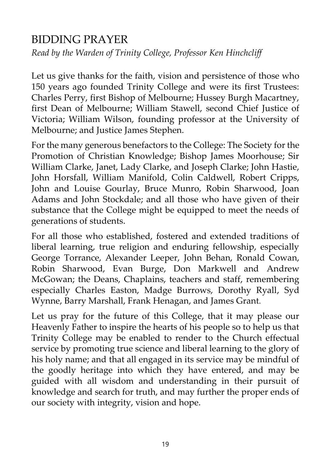## BIDDING PRAYER

*Read by the Warden of Trinity College, Professor Ken Hinchcliff*

Let us give thanks for the faith, vision and persistence of those who 150 years ago founded Trinity College and were its first Trustees: Charles Perry, first Bishop of Melbourne; Hussey Burgh Macartney, first Dean of Melbourne; William Stawell, second Chief Justice of Victoria; William Wilson, founding professor at the University of Melbourne; and Justice James Stephen.

For the many generous benefactors to the College: The Society for the Promotion of Christian Knowledge; Bishop James Moorhouse; Sir William Clarke, Janet, Lady Clarke, and Joseph Clarke; John Hastie, John Horsfall, William Manifold, Colin Caldwell, Robert Cripps, John and Louise Gourlay, Bruce Munro, Robin Sharwood, Joan Adams and John Stockdale; and all those who have given of their substance that the College might be equipped to meet the needs of generations of students.

For all those who established, fostered and extended traditions of liberal learning, true religion and enduring fellowship, especially George Torrance, Alexander Leeper, John Behan, Ronald Cowan, Robin Sharwood, Evan Burge, Don Markwell and Andrew McGowan; the Deans, Chaplains, teachers and staff, remembering especially Charles Easton, Madge Burrows, Dorothy Ryall, Syd Wynne, Barry Marshall, Frank Henagan, and James Grant.

Let us pray for the future of this College, that it may please our Heavenly Father to inspire the hearts of his people so to help us that Trinity College may be enabled to render to the Church effectual service by promoting true science and liberal learning to the glory of his holy name; and that all engaged in its service may be mindful of the goodly heritage into which they have entered, and may be guided with all wisdom and understanding in their pursuit of knowledge and search for truth, and may further the proper ends of our society with integrity, vision and hope.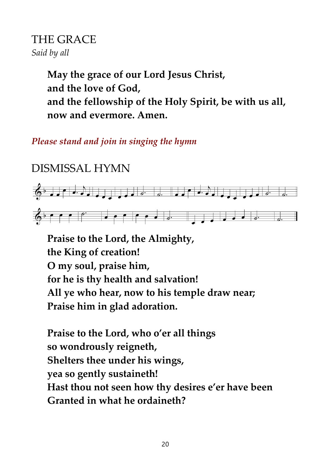## THE GRACE *Said by all*

**May the grace of our Lord Jesus Christ, and the love of God, and the fellowship of the Holy Spirit, be with us all, now and evermore. Amen.**

*Please stand and join in singing the hymn*

# DISMISSAL HYMN



**Praise to the Lord, the Almighty, the King of creation! O my soul, praise him, for he is thy health and salvation! All ye who hear, now to his temple draw near; Praise him in glad adoration.**

**Praise to the Lord, who o'er all things so wondrously reigneth, Shelters thee under his wings, yea so gently sustaineth! Hast thou not seen how thy desires e'er have been Granted in what he ordaineth?**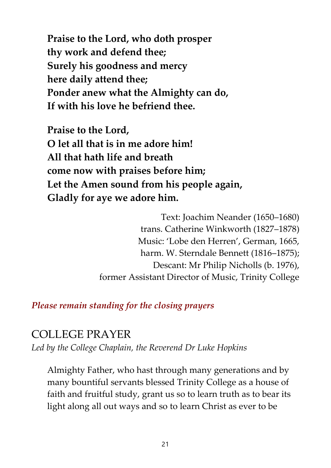**Praise to the Lord, who doth prosper thy work and defend thee; Surely his goodness and mercy here daily attend thee; Ponder anew what the Almighty can do, If with his love he befriend thee.**

**Praise to the Lord, O let all that is in me adore him! All that hath life and breath come now with praises before him; Let the Amen sound from his people again, Gladly for aye we adore him.**

> Text: Joachim Neander (1650–1680) trans. Catherine Winkworth (1827–1878) Music: 'Lobe den Herren', German, 1665, harm. W. Sterndale Bennett (1816–1875); Descant: Mr Philip Nicholls (b. 1976), former Assistant Director of Music, Trinity College

*Please remain standing for the closing prayers*

## COLLEGE PRAYER

*Led by the College Chaplain, the Reverend Dr Luke Hopkins*

Almighty Father, who hast through many generations and by many bountiful servants blessed Trinity College as a house of faith and fruitful study, grant us so to learn truth as to bear its light along all out ways and so to learn Christ as ever to be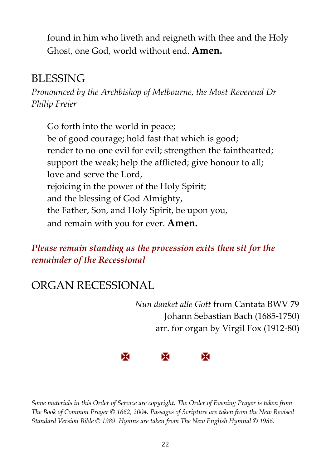found in him who liveth and reigneth with thee and the Holy Ghost, one God, world without end. **Amen.**

## BLESSING

*Pronounced by the Archbishop of Melbourne, the Most Reverend Dr Philip Freier*

Go forth into the world in peace; be of good courage; hold fast that which is good; render to no-one evil for evil; strengthen the fainthearted; support the weak; help the afflicted; give honour to all; love and serve the Lord, rejoicing in the power of the Holy Spirit; and the blessing of God Almighty, the Father, Son, and Holy Spirit, be upon you, and remain with you for ever. **Amen.**

*Please remain standing as the procession exits then sit for the remainder of the Recessional*

# ORGAN RECESSIONAL

*Nun danket alle Gott* from Cantata BWV 79 Johann Sebastian Bach (1685-1750) arr. for organ by Virgil Fox (1912-80)



*Some materials in this Order of Service are copyright. The Order of Evening Prayer is taken from The Book of Common Prayer © 1662, 2004. Passages of Scripture are taken from the New Revised Standard Version Bible © 1989. Hymns are taken from The New English Hymnal © 1986.*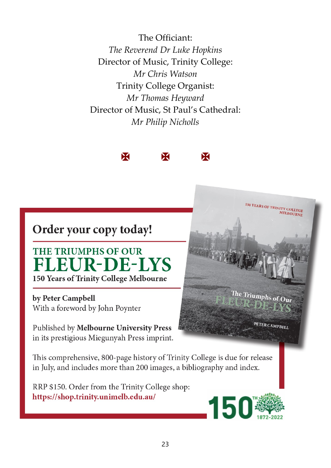The Officiant: *The Reverend Dr Luke Hopkins* Director of Music, Trinity College: *Mr Chris Watson* Trinity College Organist: *Mr Thomas Heyward* Director of Music, St Paul's Cathedral: *Mr Philip Nicholls*



# Order your copy today!

## **THE TRIUMPHS OF OUR FLEUR-DE-LYS** 150 Years of Trinity College Melbourne

by Peter Campbell With a foreword by John Poynter

Published by Melbourne University Press in its prestigious Miegunyah Press imprint.

This comprehensive, 800-page history of Trinity College is due for release in July, and includes more than 200 images, a bibliography and index.

RRP \$150. Order from the Trinity College shop: https://shop.trinity.unimelb.edu.au/



150 YEARS OF TRINITY COLLEGE<br>MELBOURNE

The Triumphs of  $_{\rm Our}$ 

PETER CAMPBELL